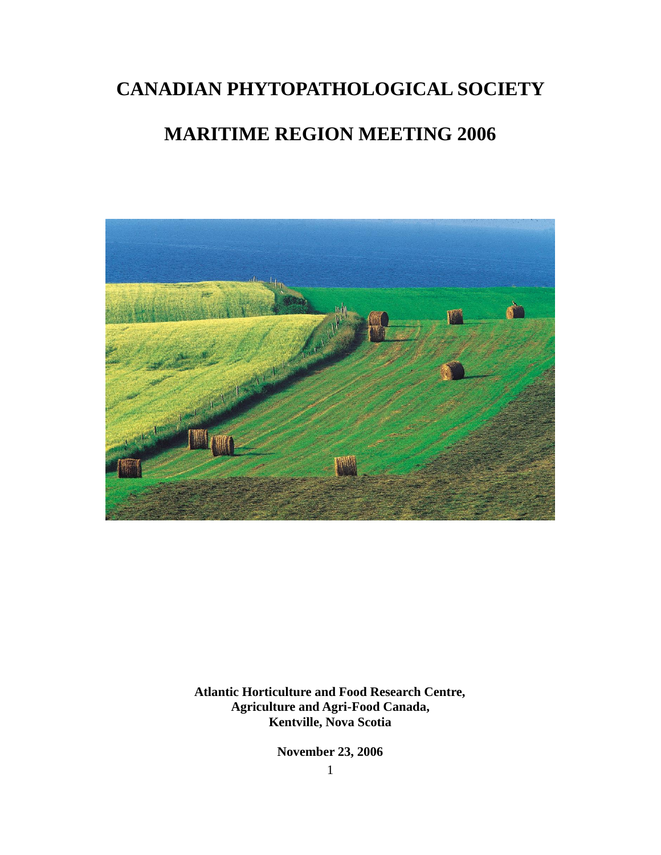# **CANADIAN PHYTOPATHOLOGICAL SOCIETY**

# **MARITIME REGION MEETING 2006**



**Atlantic Horticulture and Food Research Centre, Agriculture and Agri-Food Canada, Kentville, Nova Scotia**

**November 23, 2006**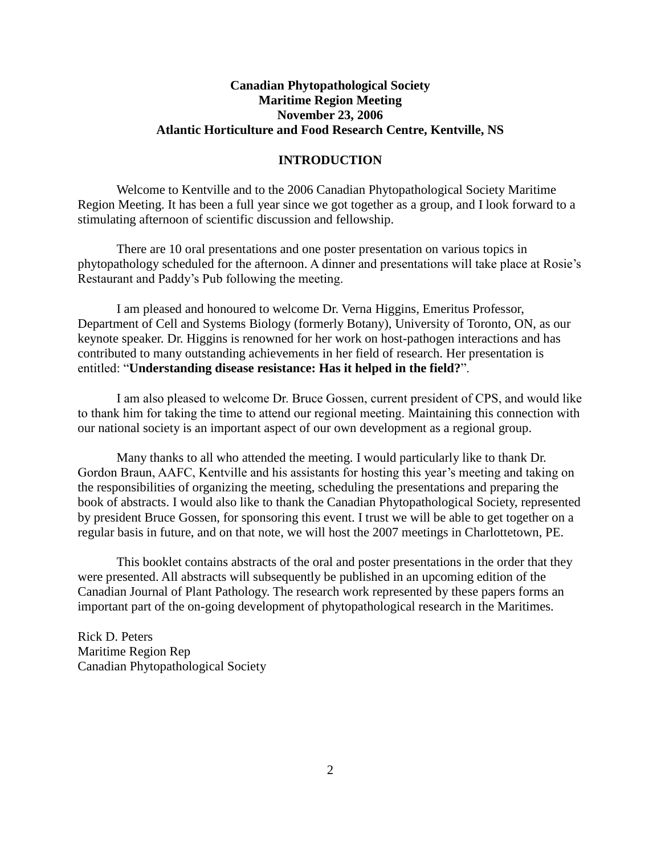# **Canadian Phytopathological Society Maritime Region Meeting November 23, 2006 Atlantic Horticulture and Food Research Centre, Kentville, NS**

## **INTRODUCTION**

Welcome to Kentville and to the 2006 Canadian Phytopathological Society Maritime Region Meeting. It has been a full year since we got together as a group, and I look forward to a stimulating afternoon of scientific discussion and fellowship.

There are 10 oral presentations and one poster presentation on various topics in phytopathology scheduled for the afternoon. A dinner and presentations will take place at Rosie's Restaurant and Paddy's Pub following the meeting.

I am pleased and honoured to welcome Dr. Verna Higgins, Emeritus Professor, Department of Cell and Systems Biology (formerly Botany), University of Toronto, ON, as our keynote speaker. Dr. Higgins is renowned for her work on host-pathogen interactions and has contributed to many outstanding achievements in her field of research. Her presentation is entitled: "**Understanding disease resistance: Has it helped in the field?**".

I am also pleased to welcome Dr. Bruce Gossen, current president of CPS, and would like to thank him for taking the time to attend our regional meeting. Maintaining this connection with our national society is an important aspect of our own development as a regional group.

Many thanks to all who attended the meeting. I would particularly like to thank Dr. Gordon Braun, AAFC, Kentville and his assistants for hosting this year's meeting and taking on the responsibilities of organizing the meeting, scheduling the presentations and preparing the book of abstracts. I would also like to thank the Canadian Phytopathological Society, represented by president Bruce Gossen, for sponsoring this event. I trust we will be able to get together on a regular basis in future, and on that note, we will host the 2007 meetings in Charlottetown, PE.

This booklet contains abstracts of the oral and poster presentations in the order that they were presented. All abstracts will subsequently be published in an upcoming edition of the Canadian Journal of Plant Pathology. The research work represented by these papers forms an important part of the on-going development of phytopathological research in the Maritimes.

Rick D. Peters Maritime Region Rep Canadian Phytopathological Society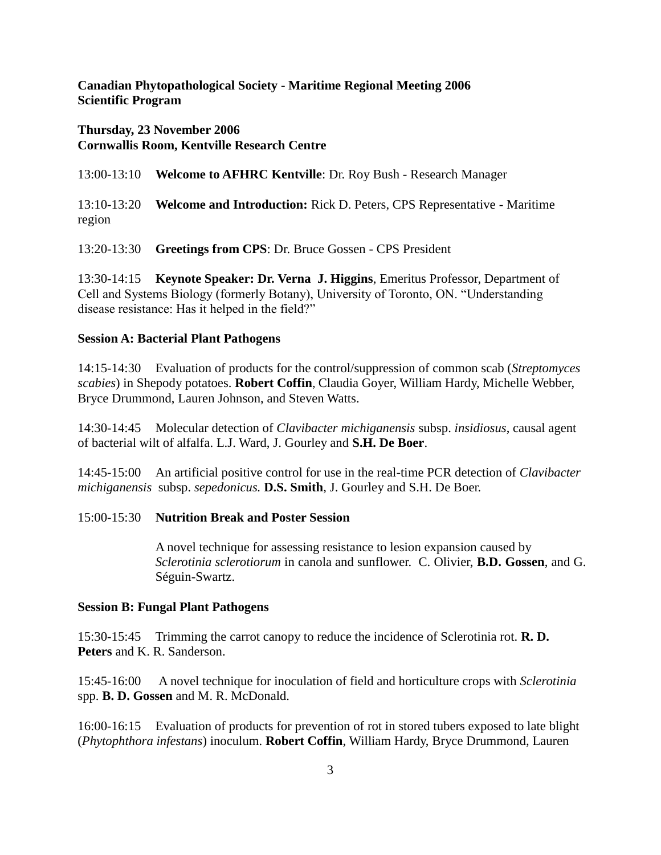**Canadian Phytopathological Society - Maritime Regional Meeting 2006 Scientific Program**

# **Thursday, 23 November 2006 Cornwallis Room, Kentville Research Centre**

13:00-13:10 **Welcome to AFHRC Kentville**: Dr. Roy Bush - Research Manager

13:10-13:20 **Welcome and Introduction:** Rick D. Peters, CPS Representative - Maritime region

13:20-13:30 **Greetings from CPS**: Dr. Bruce Gossen - CPS President

13:30-14:15 **Keynote Speaker: Dr. Verna J. Higgins**, Emeritus Professor, Department of Cell and Systems Biology (formerly Botany), University of Toronto, ON. "Understanding disease resistance: Has it helped in the field?"

#### **Session A: Bacterial Plant Pathogens**

14:15-14:30 Evaluation of products for the control/suppression of common scab (*Streptomyces scabies*) in Shepody potatoes. **Robert Coffin**, Claudia Goyer, William Hardy, Michelle Webber, Bryce Drummond, Lauren Johnson, and Steven Watts.

14:30-14:45 Molecular detection of *Clavibacter michiganensis* subsp. *insidiosus*, causal agent of bacterial wilt of alfalfa. L.J. Ward, J. Gourley and **S.H. De Boer**.

14:45-15:00 An artificial positive control for use in the real-time PCR detection of *Clavibacter michiganensis* subsp. *sepedonicus.* **D.S. Smith**, J. Gourley and S.H. De Boer.

# 15:00-15:30 **Nutrition Break and Poster Session**

A novel technique for assessing resistance to lesion expansion caused by *Sclerotinia sclerotiorum* in canola and sunflower. C. Olivier, **B.D. Gossen**, and G. Séguin-Swartz.

#### **Session B: Fungal Plant Pathogens**

15:30-15:45 Trimming the carrot canopy to reduce the incidence of Sclerotinia rot. **R. D. Peters** and K. R. Sanderson.

15:45-16:00 A novel technique for inoculation of field and horticulture crops with *Sclerotinia* spp. **B. D. Gossen** and M. R. McDonald.

16:00-16:15 Evaluation of products for prevention of rot in stored tubers exposed to late blight (*Phytophthora infestans*) inoculum. **Robert Coffin**, William Hardy, Bryce Drummond, Lauren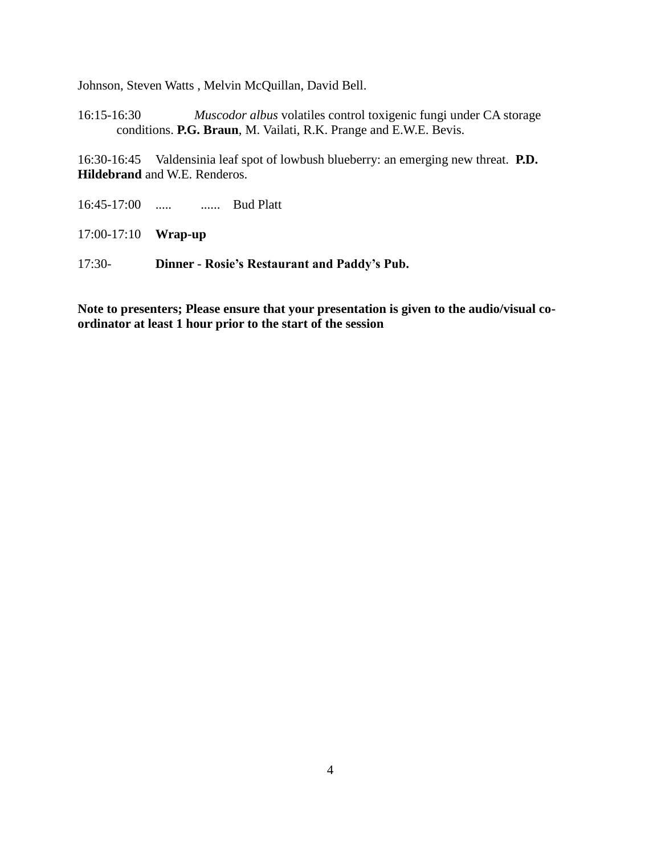Johnson, Steven Watts , Melvin McQuillan, David Bell.

16:15-16:30 *Muscodor albus* volatiles control toxigenic fungi under CA storage conditions. **P.G. Braun**, M. Vailati, R.K. Prange and E.W.E. Bevis.

16:30-16:45 Valdensinia leaf spot of lowbush blueberry: an emerging new threat. **P.D. Hildebrand** and W.E. Renderos.

- 16:45-17:00 ..... ...... Bud Platt
- 17:00-17:10 **Wrap-up**
- 17:30- **Dinner - Rosie's Restaurant and Paddy's Pub.**

**Note to presenters; Please ensure that your presentation is given to the audio/visual coordinator at least 1 hour prior to the start of the session**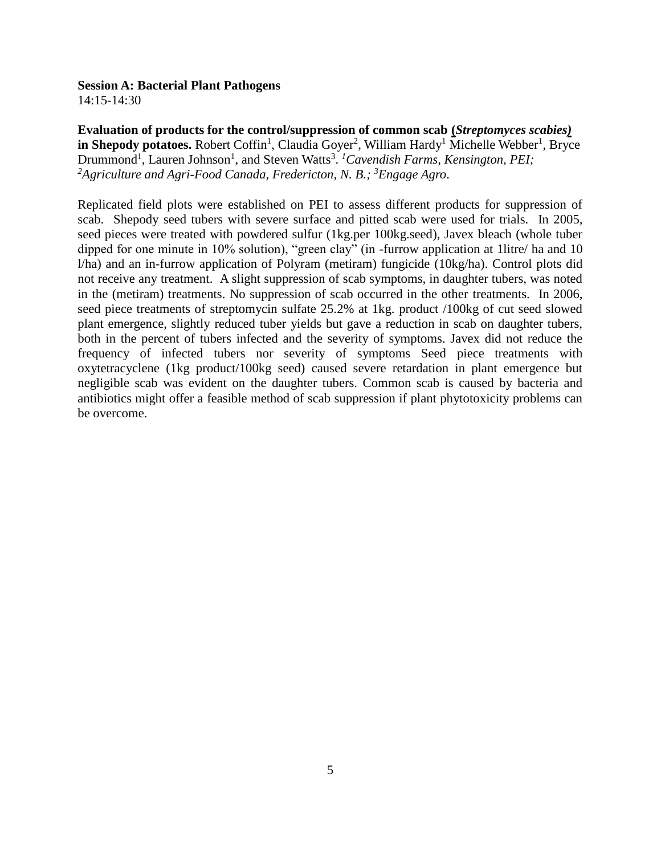#### **Session A: Bacterial Plant Pathogens**

14:15-14:30

**Evaluation of products for the control/suppression of common scab (***Streptomyces scabies)* in Shepody potatoes. Robert Coffin<sup>1</sup>, Claudia Goyer<sup>2</sup>, William Hardy<sup>1</sup> Michelle Webber<sup>1</sup>, Bryce Drummond<sup>1</sup>, Lauren Johnson<sup>1</sup>, and Steven Watts<sup>3</sup>. <sup>1</sup>Cavendish Farms, Kensington, PEI; *<sup>2</sup>Agriculture and Agri-Food Canada, Fredericton, N. B.; <sup>3</sup>Engage Agro*.

Replicated field plots were established on PEI to assess different products for suppression of scab. Shepody seed tubers with severe surface and pitted scab were used for trials. In 2005, seed pieces were treated with powdered sulfur (1kg.per 100kg.seed), Javex bleach (whole tuber dipped for one minute in 10% solution), "green clay" (in -furrow application at 1litre/ ha and 10 l/ha) and an in-furrow application of Polyram (metiram) fungicide (10kg/ha). Control plots did not receive any treatment. A slight suppression of scab symptoms, in daughter tubers, was noted in the (metiram) treatments. No suppression of scab occurred in the other treatments. In 2006, seed piece treatments of streptomycin sulfate 25.2% at 1kg. product /100kg of cut seed slowed plant emergence, slightly reduced tuber yields but gave a reduction in scab on daughter tubers, both in the percent of tubers infected and the severity of symptoms. Javex did not reduce the frequency of infected tubers nor severity of symptoms Seed piece treatments with oxytetracyclene (1kg product/100kg seed) caused severe retardation in plant emergence but negligible scab was evident on the daughter tubers. Common scab is caused by bacteria and antibiotics might offer a feasible method of scab suppression if plant phytotoxicity problems can be overcome.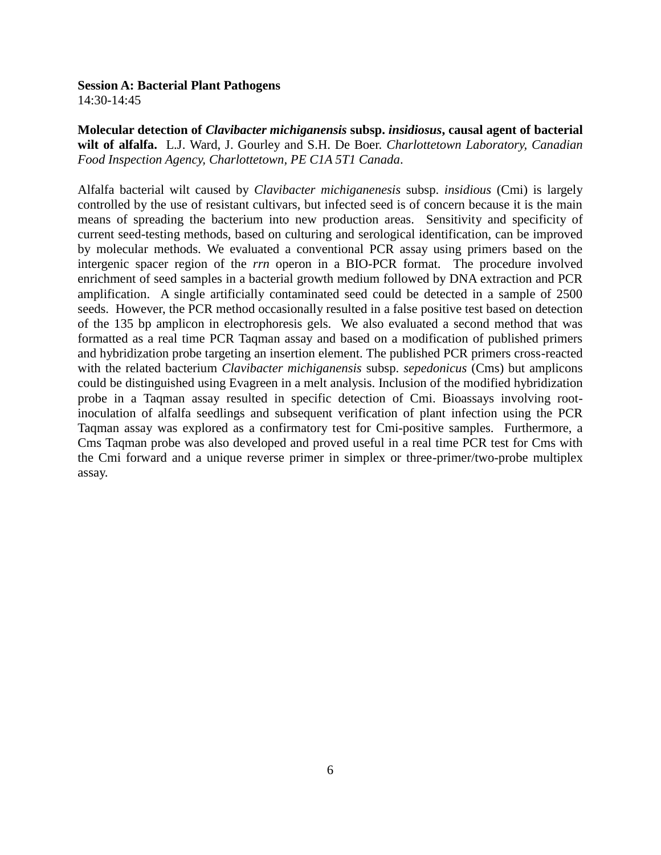# **Session A: Bacterial Plant Pathogens**

14:30-14:45

**Molecular detection of** *Clavibacter michiganensis* **subsp.** *insidiosus***, causal agent of bacterial wilt of alfalfa.** L.J. Ward, J. Gourley and S.H. De Boer. *Charlottetown Laboratory, Canadian Food Inspection Agency, Charlottetown, PE C1A 5T1 Canada*.

Alfalfa bacterial wilt caused by *Clavibacter michiganenesis* subsp. *insidious* (Cmi) is largely controlled by the use of resistant cultivars, but infected seed is of concern because it is the main means of spreading the bacterium into new production areas. Sensitivity and specificity of current seed-testing methods, based on culturing and serological identification, can be improved by molecular methods. We evaluated a conventional PCR assay using primers based on the intergenic spacer region of the *rrn* operon in a BIO-PCR format. The procedure involved enrichment of seed samples in a bacterial growth medium followed by DNA extraction and PCR amplification. A single artificially contaminated seed could be detected in a sample of 2500 seeds. However, the PCR method occasionally resulted in a false positive test based on detection of the 135 bp amplicon in electrophoresis gels. We also evaluated a second method that was formatted as a real time PCR Taqman assay and based on a modification of published primers and hybridization probe targeting an insertion element. The published PCR primers cross-reacted with the related bacterium *Clavibacter michiganensis* subsp. *sepedonicus* (Cms) but amplicons could be distinguished using Evagreen in a melt analysis. Inclusion of the modified hybridization probe in a Taqman assay resulted in specific detection of Cmi. Bioassays involving rootinoculation of alfalfa seedlings and subsequent verification of plant infection using the PCR Taqman assay was explored as a confirmatory test for Cmi-positive samples. Furthermore, a Cms Taqman probe was also developed and proved useful in a real time PCR test for Cms with the Cmi forward and a unique reverse primer in simplex or three-primer/two-probe multiplex assay.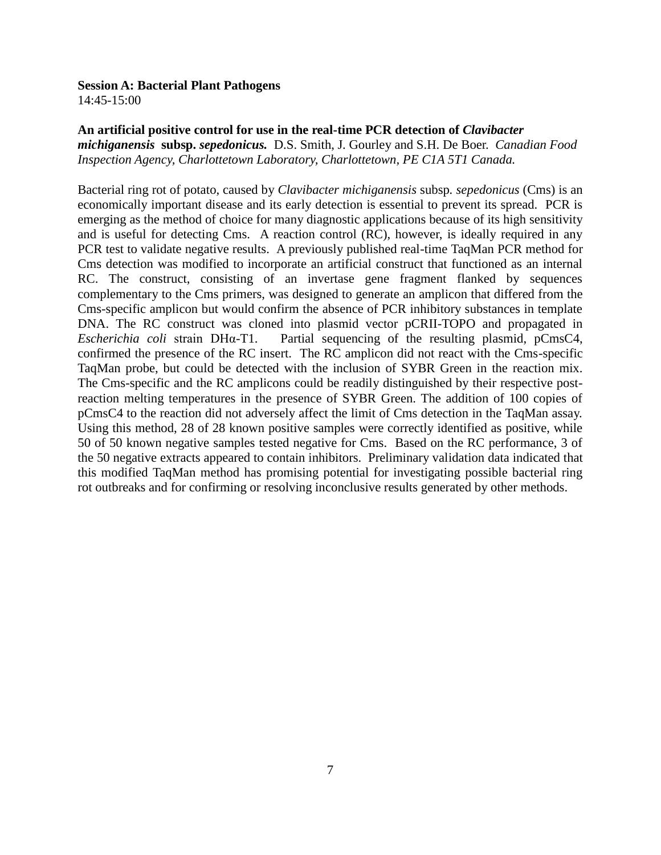#### **Session A: Bacterial Plant Pathogens**

14:45-15:00

#### An artificial positive control for use in the real-time PCR detection of *Clavibacter*

*michiganensis* **subsp.** *sepedonicus.* D.S. Smith, J. Gourley and S.H. De Boer. *Canadian Food Inspection Agency, Charlottetown Laboratory, Charlottetown, PE C1A 5T1 Canada.*

Bacterial ring rot of potato, caused by *Clavibacter michiganensis* subsp*. sepedonicus* (Cms) is an economically important disease and its early detection is essential to prevent its spread. PCR is emerging as the method of choice for many diagnostic applications because of its high sensitivity and is useful for detecting Cms. A reaction control (RC), however, is ideally required in any PCR test to validate negative results. A previously published real-time TaqMan PCR method for Cms detection was modified to incorporate an artificial construct that functioned as an internal RC. The construct, consisting of an invertase gene fragment flanked by sequences complementary to the Cms primers, was designed to generate an amplicon that differed from the Cms-specific amplicon but would confirm the absence of PCR inhibitory substances in template DNA. The RC construct was cloned into plasmid vector pCRII-TOPO and propagated in *Escherichia coli* strain DHα-T1. Partial sequencing of the resulting plasmid, pCmsC4, confirmed the presence of the RC insert. The RC amplicon did not react with the Cms-specific TaqMan probe, but could be detected with the inclusion of SYBR Green in the reaction mix. The Cms-specific and the RC amplicons could be readily distinguished by their respective postreaction melting temperatures in the presence of SYBR Green. The addition of 100 copies of pCmsC4 to the reaction did not adversely affect the limit of Cms detection in the TaqMan assay. Using this method, 28 of 28 known positive samples were correctly identified as positive, while 50 of 50 known negative samples tested negative for Cms. Based on the RC performance, 3 of the 50 negative extracts appeared to contain inhibitors. Preliminary validation data indicated that this modified TaqMan method has promising potential for investigating possible bacterial ring rot outbreaks and for confirming or resolving inconclusive results generated by other methods.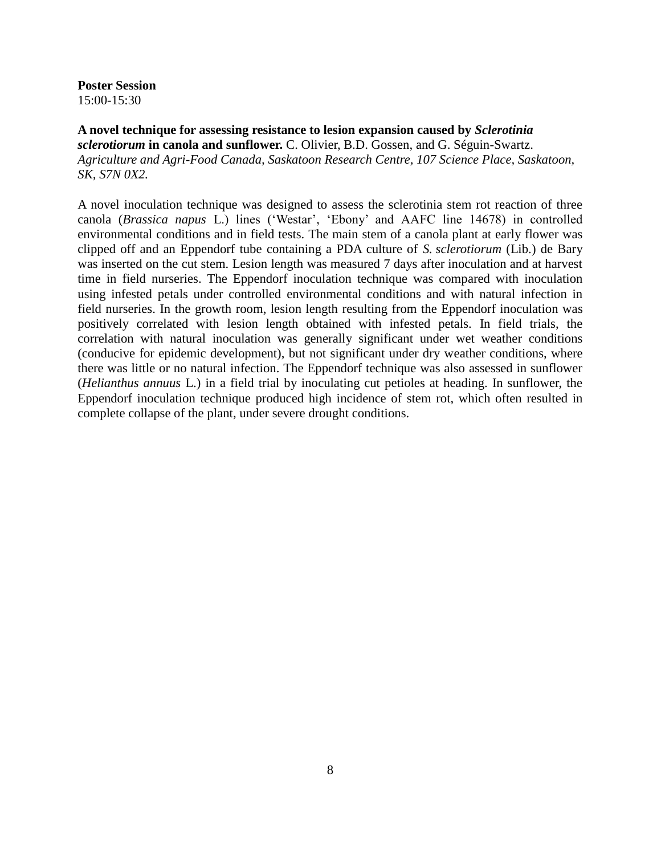**Poster Session** 15:00-15:30

**A novel technique for assessing resistance to lesion expansion caused by** *Sclerotinia sclerotiorum* **in canola and sunflower.** C. Olivier, B.D. Gossen, and G. Séguin-Swartz. *Agriculture and Agri-Food Canada, Saskatoon Research Centre, 107 Science Place, Saskatoon, SK, S7N 0X2.*

A novel inoculation technique was designed to assess the sclerotinia stem rot reaction of three canola (*Brassica napus* L.) lines ('Westar', 'Ebony' and AAFC line 14678) in controlled environmental conditions and in field tests. The main stem of a canola plant at early flower was clipped off and an Eppendorf tube containing a PDA culture of *S. sclerotiorum* (Lib.) de Bary was inserted on the cut stem. Lesion length was measured 7 days after inoculation and at harvest time in field nurseries. The Eppendorf inoculation technique was compared with inoculation using infested petals under controlled environmental conditions and with natural infection in field nurseries. In the growth room, lesion length resulting from the Eppendorf inoculation was positively correlated with lesion length obtained with infested petals. In field trials, the correlation with natural inoculation was generally significant under wet weather conditions (conducive for epidemic development), but not significant under dry weather conditions, where there was little or no natural infection. The Eppendorf technique was also assessed in sunflower (*Helianthus annuus* L.) in a field trial by inoculating cut petioles at heading. In sunflower, the Eppendorf inoculation technique produced high incidence of stem rot, which often resulted in complete collapse of the plant, under severe drought conditions.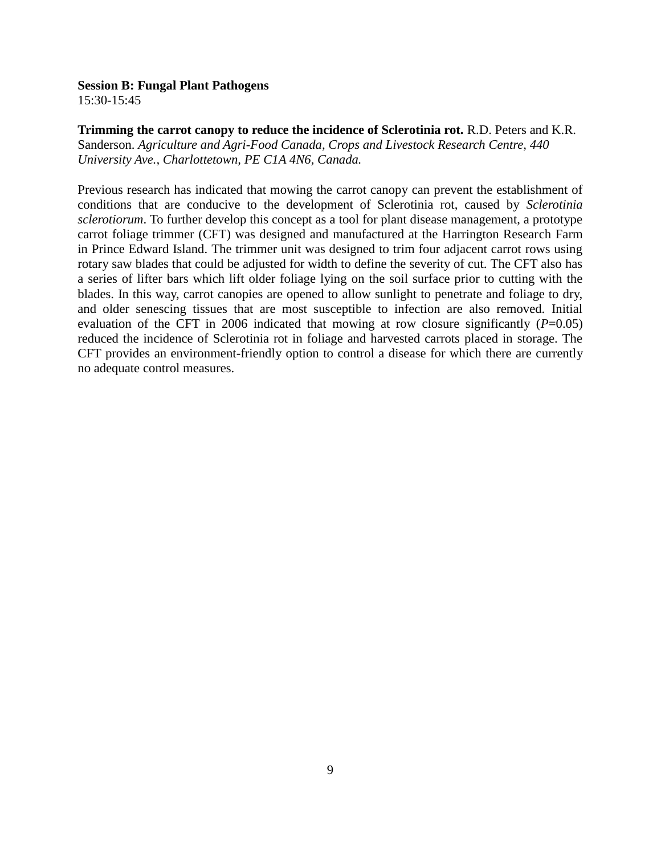15:30-15:45

**Trimming the carrot canopy to reduce the incidence of Sclerotinia rot.** R.D. Peters and K.R. Sanderson. *Agriculture and Agri-Food Canada, Crops and Livestock Research Centre, 440 University Ave., Charlottetown, PE C1A 4N6, Canada.*

Previous research has indicated that mowing the carrot canopy can prevent the establishment of conditions that are conducive to the development of Sclerotinia rot, caused by *Sclerotinia sclerotiorum*. To further develop this concept as a tool for plant disease management, a prototype carrot foliage trimmer (CFT) was designed and manufactured at the Harrington Research Farm in Prince Edward Island. The trimmer unit was designed to trim four adjacent carrot rows using rotary saw blades that could be adjusted for width to define the severity of cut. The CFT also has a series of lifter bars which lift older foliage lying on the soil surface prior to cutting with the blades. In this way, carrot canopies are opened to allow sunlight to penetrate and foliage to dry, and older senescing tissues that are most susceptible to infection are also removed. Initial evaluation of the CFT in 2006 indicated that mowing at row closure significantly  $(P=0.05)$ reduced the incidence of Sclerotinia rot in foliage and harvested carrots placed in storage. The CFT provides an environment-friendly option to control a disease for which there are currently no adequate control measures.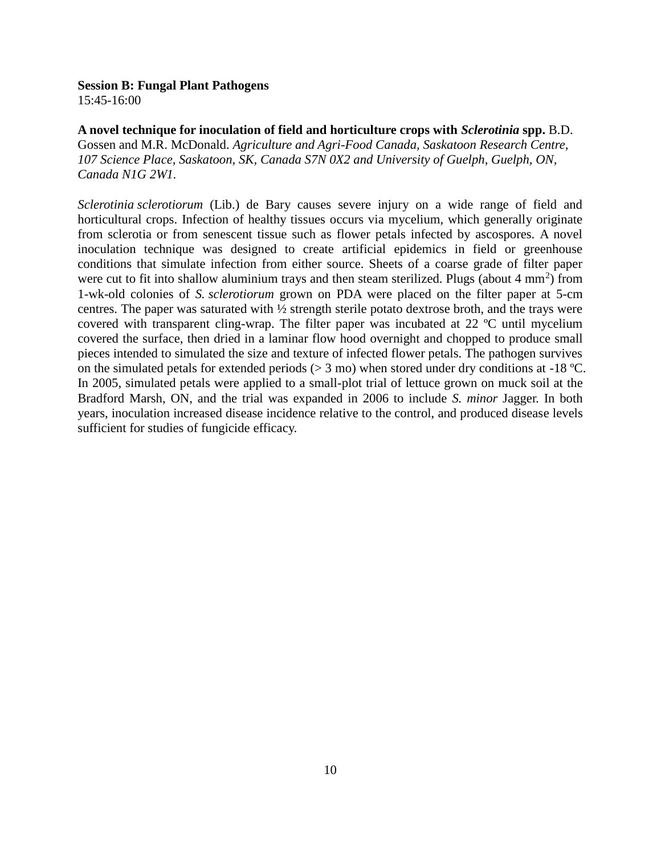15:45-16:00

**A novel technique for inoculation of field and horticulture crops with** *Sclerotinia* **spp.** B.D. Gossen and M.R. McDonald. *Agriculture and Agri-Food Canada, Saskatoon Research Centre, 107 Science Place, Saskatoon, SK, Canada S7N 0X2 and University of Guelph, Guelph, ON, Canada N1G 2W1.*

*Sclerotinia sclerotiorum* (Lib.) de Bary causes severe injury on a wide range of field and horticultural crops. Infection of healthy tissues occurs via mycelium, which generally originate from sclerotia or from senescent tissue such as flower petals infected by ascospores. A novel inoculation technique was designed to create artificial epidemics in field or greenhouse conditions that simulate infection from either source. Sheets of a coarse grade of filter paper were cut to fit into shallow aluminium trays and then steam sterilized. Plugs (about  $4 \text{ mm}^2$ ) from 1-wk-old colonies of *S. sclerotiorum* grown on PDA were placed on the filter paper at 5-cm centres. The paper was saturated with ½ strength sterile potato dextrose broth, and the trays were covered with transparent cling-wrap. The filter paper was incubated at 22 ºC until mycelium covered the surface, then dried in a laminar flow hood overnight and chopped to produce small pieces intended to simulated the size and texture of infected flower petals. The pathogen survives on the simulated petals for extended periods ( $> 3$  mo) when stored under dry conditions at -18 °C. In 2005, simulated petals were applied to a small-plot trial of lettuce grown on muck soil at the Bradford Marsh, ON, and the trial was expanded in 2006 to include *S. minor* Jagger. In both years, inoculation increased disease incidence relative to the control, and produced disease levels sufficient for studies of fungicide efficacy.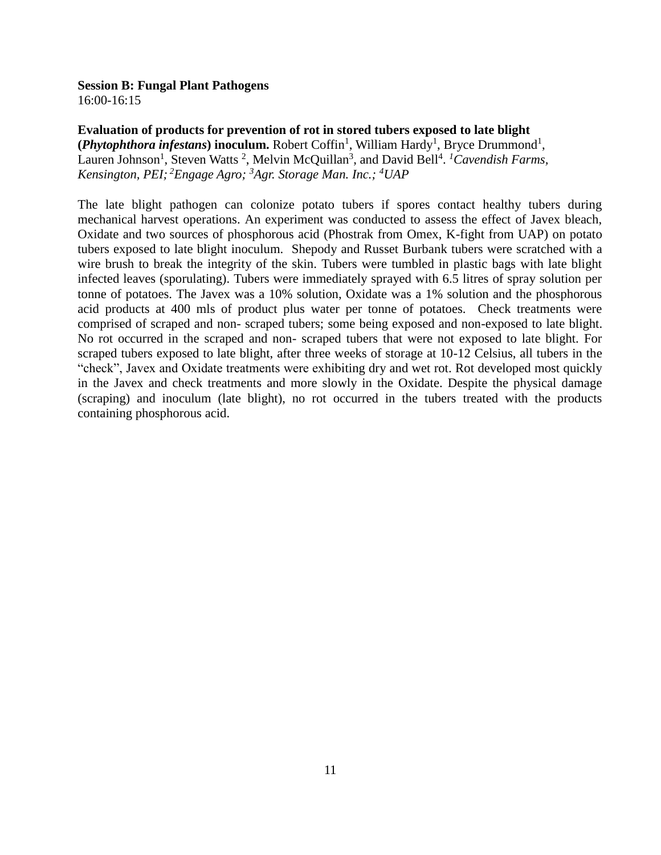16:00-16:15

**Evaluation of products for prevention of rot in stored tubers exposed to late blight**  (*Phytophthora infestans*) inoculum. Robert Coffin<sup>1</sup>, William Hardy<sup>1</sup>, Bryce Drummond<sup>1</sup>, Lauren Johnson<sup>1</sup>, Steven Watts<sup>2</sup>, Melvin McQuillan<sup>3</sup>, and David Bell<sup>4</sup>. <sup>1</sup>Cavendish Farms, *Kensington, PEI; <sup>2</sup>Engage Agro; <sup>3</sup>Agr. Storage Man. Inc.; <sup>4</sup>UAP*

The late blight pathogen can colonize potato tubers if spores contact healthy tubers during mechanical harvest operations. An experiment was conducted to assess the effect of Javex bleach, Oxidate and two sources of phosphorous acid (Phostrak from Omex, K-fight from UAP) on potato tubers exposed to late blight inoculum. Shepody and Russet Burbank tubers were scratched with a wire brush to break the integrity of the skin. Tubers were tumbled in plastic bags with late blight infected leaves (sporulating). Tubers were immediately sprayed with 6.5 litres of spray solution per tonne of potatoes. The Javex was a 10% solution, Oxidate was a 1% solution and the phosphorous acid products at 400 mls of product plus water per tonne of potatoes. Check treatments were comprised of scraped and non- scraped tubers; some being exposed and non-exposed to late blight. No rot occurred in the scraped and non- scraped tubers that were not exposed to late blight. For scraped tubers exposed to late blight, after three weeks of storage at 10-12 Celsius, all tubers in the "check", Javex and Oxidate treatments were exhibiting dry and wet rot. Rot developed most quickly in the Javex and check treatments and more slowly in the Oxidate. Despite the physical damage (scraping) and inoculum (late blight), no rot occurred in the tubers treated with the products containing phosphorous acid.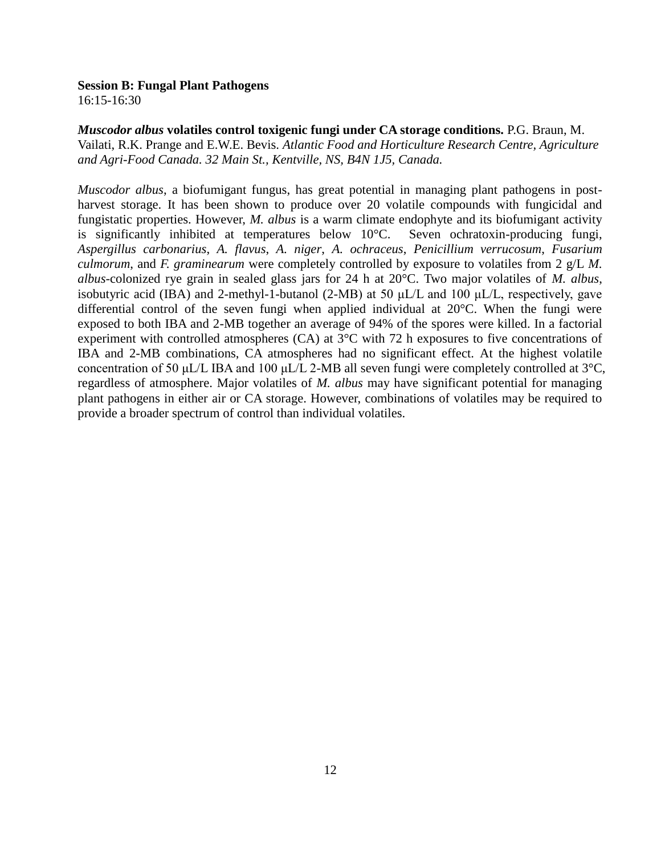16:15-16:30

*Muscodor albus* **volatiles control toxigenic fungi under CA storage conditions.** P.G. Braun, M. Vailati, R.K. Prange and E.W.E. Bevis. *Atlantic Food and Horticulture Research Centre, Agriculture and Agri-Food Canada. 32 Main St., Kentville, NS, B4N 1J5, Canada.* 

*Muscodor albus*, a biofumigant fungus, has great potential in managing plant pathogens in postharvest storage. It has been shown to produce over 20 volatile compounds with fungicidal and fungistatic properties. However, *M. albus* is a warm climate endophyte and its biofumigant activity is significantly inhibited at temperatures below 10°C. Seven ochratoxin-producing fungi, *Aspergillus carbonarius*, *A. flavus*, *A. niger*, *A. ochraceus*, *Penicillium verrucosum*, *Fusarium culmorum*, and *F. graminearum* were completely controlled by exposure to volatiles from 2 g/L *M. albus*-colonized rye grain in sealed glass jars for 24 h at 20°C. Two major volatiles of *M. albus*, isobutyric acid (IBA) and 2-methyl-1-butanol (2-MB) at 50 μL/L and 100 μL/L, respectively, gave differential control of the seven fungi when applied individual at 20°C. When the fungi were exposed to both IBA and 2-MB together an average of 94% of the spores were killed. In a factorial experiment with controlled atmospheres (CA) at 3°C with 72 h exposures to five concentrations of IBA and 2-MB combinations, CA atmospheres had no significant effect. At the highest volatile concentration of 50 μL/L IBA and 100 μL/L 2-MB all seven fungi were completely controlled at 3°C, regardless of atmosphere. Major volatiles of *M. albus* may have significant potential for managing plant pathogens in either air or CA storage. However, combinations of volatiles may be required to provide a broader spectrum of control than individual volatiles.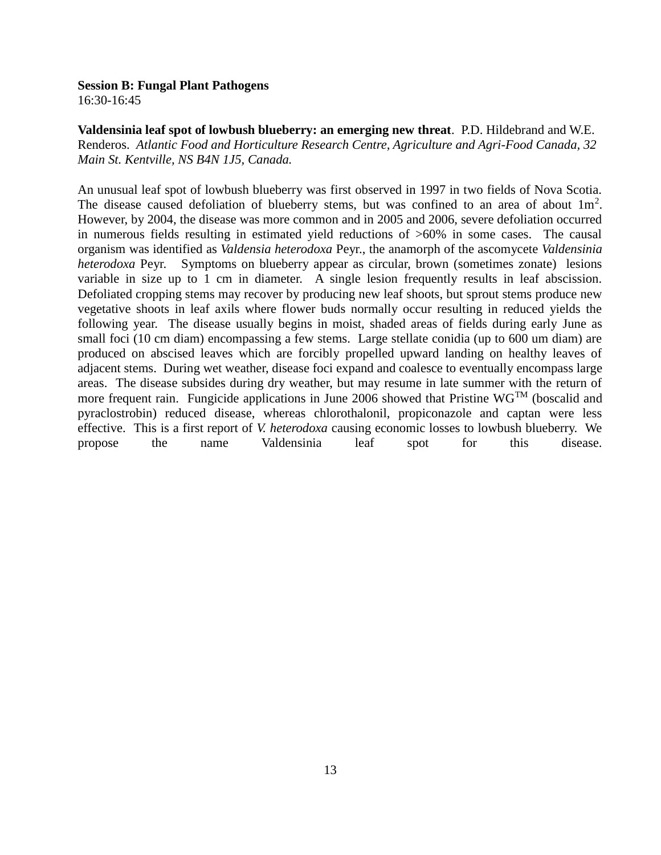16:30-16:45

**Valdensinia leaf spot of lowbush blueberry: an emerging new threat**. P.D. Hildebrand and W.E. Renderos. *Atlantic Food and Horticulture Research Centre, Agriculture and Agri-Food Canada, 32 Main St. Kentville, NS B4N 1J5, Canada.*

An unusual leaf spot of lowbush blueberry was first observed in 1997 in two fields of Nova Scotia. The disease caused defoliation of blueberry stems, but was confined to an area of about  $1m^2$ . However, by 2004, the disease was more common and in 2005 and 2006, severe defoliation occurred in numerous fields resulting in estimated yield reductions of >60% in some cases. The causal organism was identified as *Valdensia heterodoxa* Peyr., the anamorph of the ascomycete *Valdensinia heterodoxa* Peyr. Symptoms on blueberry appear as circular, brown (sometimes zonate) lesions variable in size up to 1 cm in diameter. A single lesion frequently results in leaf abscission. Defoliated cropping stems may recover by producing new leaf shoots, but sprout stems produce new vegetative shoots in leaf axils where flower buds normally occur resulting in reduced yields the following year. The disease usually begins in moist, shaded areas of fields during early June as small foci (10 cm diam) encompassing a few stems. Large stellate conidia (up to 600 um diam) are produced on abscised leaves which are forcibly propelled upward landing on healthy leaves of adjacent stems. During wet weather, disease foci expand and coalesce to eventually encompass large areas. The disease subsides during dry weather, but may resume in late summer with the return of more frequent rain. Fungicide applications in June 2006 showed that Pristine  $\text{WG}^{\text{TM}}$  (boscalid and pyraclostrobin) reduced disease, whereas chlorothalonil, propiconazole and captan were less effective. This is a first report of *V. heterodoxa* causing economic losses to lowbush blueberry. We propose the name Valdensinia leaf spot for this disease.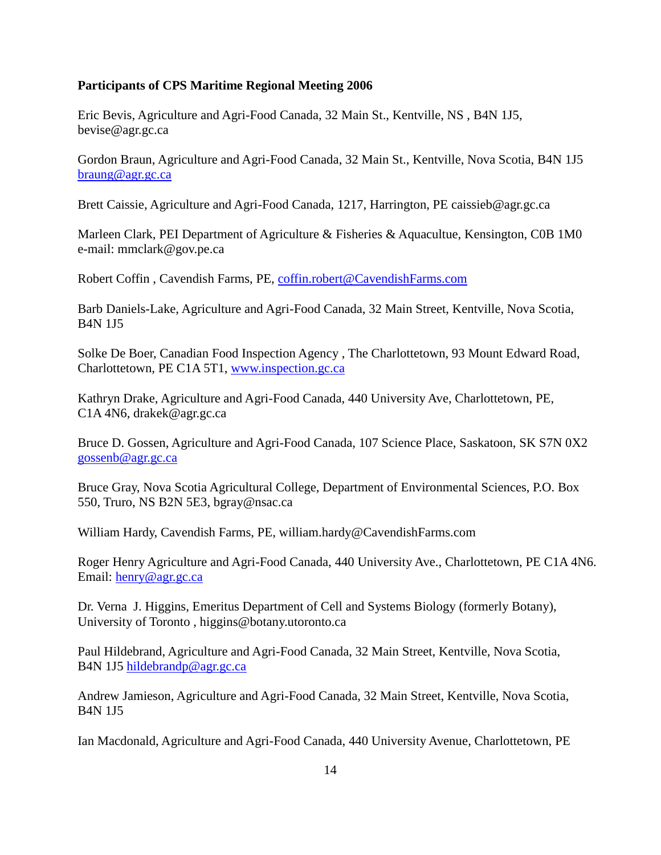# **Participants of CPS Maritime Regional Meeting 2006**

Eric Bevis, Agriculture and Agri-Food Canada, 32 Main St., Kentville, NS , B4N 1J5, bevise@agr.gc.ca

Gordon Braun, Agriculture and Agri-Food Canada, 32 Main St., Kentville, Nova Scotia, B4N 1J5 braung@agr.gc.ca

Brett Caissie, Agriculture and Agri-Food Canada, 1217, Harrington, PE caissieb@agr.gc.ca

Marleen Clark, PEI Department of Agriculture & Fisheries & Aquacultue, Kensington, C0B 1M0 e-mail: mmclark@gov.pe.ca

Robert Coffin , Cavendish Farms, PE, coffin.robert@CavendishFarms.com

Barb Daniels-Lake, Agriculture and Agri-Food Canada, 32 Main Street, Kentville, Nova Scotia, B4N 1J5

Solke De Boer, Canadian Food Inspection Agency , The Charlottetown, 93 Mount Edward Road, Charlottetown, PE C1A 5T1, www.inspection.gc.ca

Kathryn Drake, Agriculture and Agri-Food Canada, 440 University Ave, Charlottetown, PE, C1A 4N6, drakek@agr.gc.ca

Bruce D. Gossen, Agriculture and Agri-Food Canada, 107 Science Place, Saskatoon, SK S7N 0X2 gossenb@agr.gc.ca

Bruce Gray, Nova Scotia Agricultural College, Department of Environmental Sciences, P.O. Box 550, Truro, NS B2N 5E3, bgray@nsac.ca

William Hardy, Cavendish Farms, PE, william.hardy@CavendishFarms.com

Roger Henry Agriculture and Agri-Food Canada, 440 University Ave., Charlottetown, PE C1A 4N6. Email: henry@agr.gc.ca

Dr. Verna J. Higgins, Emeritus Department of Cell and Systems Biology (formerly Botany), University of Toronto , higgins@botany.utoronto.ca

Paul Hildebrand, Agriculture and Agri-Food Canada, 32 Main Street, Kentville, Nova Scotia, B4N 1J5 hildebrandp@agr.gc.ca

Andrew Jamieson, Agriculture and Agri-Food Canada, 32 Main Street, Kentville, Nova Scotia, B4N 1J5

Ian Macdonald, Agriculture and Agri-Food Canada, 440 University Avenue, Charlottetown, PE